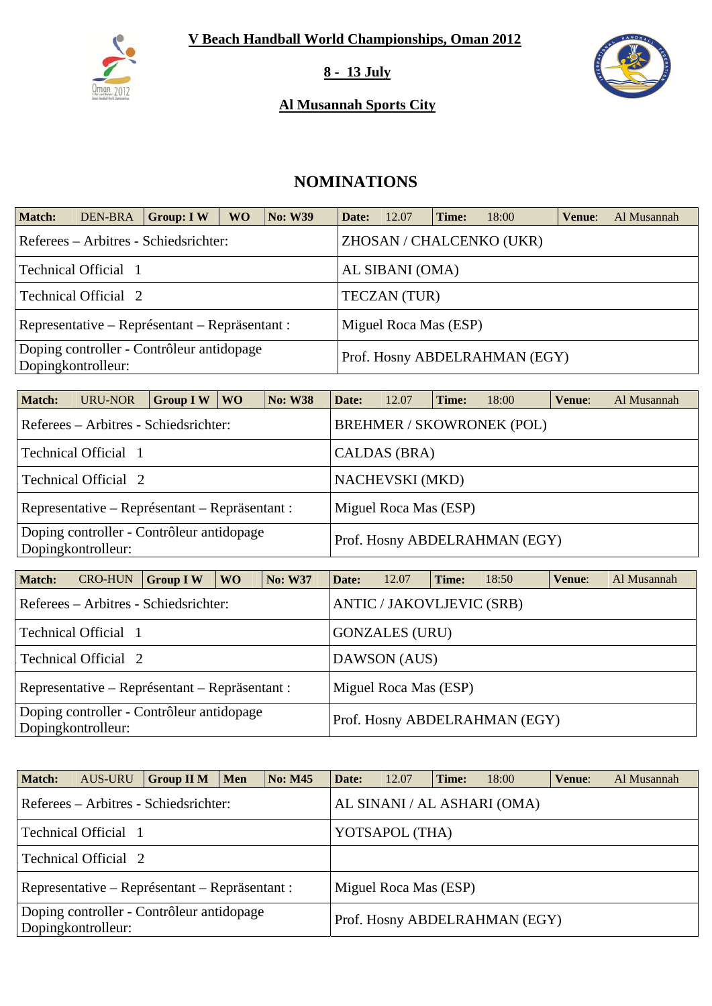

#### **8 - 13 July**

### **Al Musannah Sports City**



# **NOMINATIONS**

| <b>Match:</b> | <b>DEN-BRA</b>                                                          | <b>Group: IW</b>                          | <b>WO</b>           | <b>No: W39</b> | Date:                         | 12.07           | Time: | 18:00                    | Venue: | Al Musannah |  |  |
|---------------|-------------------------------------------------------------------------|-------------------------------------------|---------------------|----------------|-------------------------------|-----------------|-------|--------------------------|--------|-------------|--|--|
|               |                                                                         | Referees – Arbitres - Schiedsrichter:     |                     |                |                               |                 |       | ZHOSAN / CHALCENKO (UKR) |        |             |  |  |
|               | Technical Official 1                                                    |                                           |                     |                |                               | AL SIBANI (OMA) |       |                          |        |             |  |  |
|               | Technical Official 2                                                    |                                           | <b>TECZAN</b> (TUR) |                |                               |                 |       |                          |        |             |  |  |
|               | Representative – Représentant – Repräsentant :<br>Miguel Roca Mas (ESP) |                                           |                     |                |                               |                 |       |                          |        |             |  |  |
|               | Dopingkontrolleur:                                                      | Doping controller - Contrôleur antidopage |                     |                | Prof. Hosny ABDELRAHMAN (EGY) |                 |       |                          |        |             |  |  |

| <b>Match:</b>                                                                                    | URU-NOR                                        | <b>Group I W</b> | WO \ | $\vert$ No: W38 | Date: | 12.07                  | Time: | 18:00                            | Venue: | Al Musannah |
|--------------------------------------------------------------------------------------------------|------------------------------------------------|------------------|------|-----------------|-------|------------------------|-------|----------------------------------|--------|-------------|
|                                                                                                  | Referees – Arbitres - Schiedsrichter:          |                  |      |                 |       |                        |       | <b>BREHMER / SKOWRONEK (POL)</b> |        |             |
|                                                                                                  | Technical Official 1                           |                  |      |                 |       | CALDAS (BRA)           |       |                                  |        |             |
|                                                                                                  | Technical Official 2                           |                  |      |                 |       | <b>NACHEVSKI</b> (MKD) |       |                                  |        |             |
|                                                                                                  | Representative – Représentant – Repräsentant : |                  |      |                 |       | Miguel Roca Mas (ESP)  |       |                                  |        |             |
| Doping controller - Contrôleur antidopage<br>Prof. Hosny ABDELRAHMAN (EGY)<br>Dopingkontrolleur: |                                                |                  |      |                 |       |                        |       |                                  |        |             |

| <b>Match:</b> | <b>CRO-HUN</b>                                                            | $\sqrt{\frac{1}{1}}$ Group I W                 | WO. | <b>No: W37</b> | Date:                 | 12.07                 | Time: | 18:50                         | Venue: | Al Musannah |  |  |
|---------------|---------------------------------------------------------------------------|------------------------------------------------|-----|----------------|-----------------------|-----------------------|-------|-------------------------------|--------|-------------|--|--|
|               | <b>ANTIC / JAKOVLJEVIC (SRB)</b><br>Referees – Arbitres - Schiedsrichter: |                                                |     |                |                       |                       |       |                               |        |             |  |  |
|               | Technical Official 1                                                      |                                                |     |                | <b>GONZALES (URU)</b> |                       |       |                               |        |             |  |  |
|               | Technical Official 2                                                      | DAWSON (AUS)                                   |     |                |                       |                       |       |                               |        |             |  |  |
|               |                                                                           | Representative – Représentant – Repräsentant : |     |                |                       | Miguel Roca Mas (ESP) |       |                               |        |             |  |  |
|               | Dopingkontrolleur:                                                        | Doping controller - Contrôleur antidopage      |     |                |                       |                       |       | Prof. Hosny ABDELRAHMAN (EGY) |        |             |  |  |

| <b>Match:</b> | <b>AUS-URU</b>       | <b>Group II M</b>                              | Men | <b>No: M45</b> | Date:                       | 12.07          | Time: | 18:00                         | Venue: | Al Musannah |  |  |  |
|---------------|----------------------|------------------------------------------------|-----|----------------|-----------------------------|----------------|-------|-------------------------------|--------|-------------|--|--|--|
|               |                      | Referees – Arbitres - Schiedsrichter:          |     |                | AL SINANI / AL ASHARI (OMA) |                |       |                               |        |             |  |  |  |
|               | Technical Official 1 |                                                |     |                |                             | YOTSAPOL (THA) |       |                               |        |             |  |  |  |
|               | Technical Official 2 |                                                |     |                |                             |                |       |                               |        |             |  |  |  |
|               |                      | Representative – Représentant – Repräsentant : |     |                | Miguel Roca Mas (ESP)       |                |       |                               |        |             |  |  |  |
|               | Dopingkontrolleur:   | Doping controller - Contrôleur antidopage      |     |                |                             |                |       | Prof. Hosny ABDELRAHMAN (EGY) |        |             |  |  |  |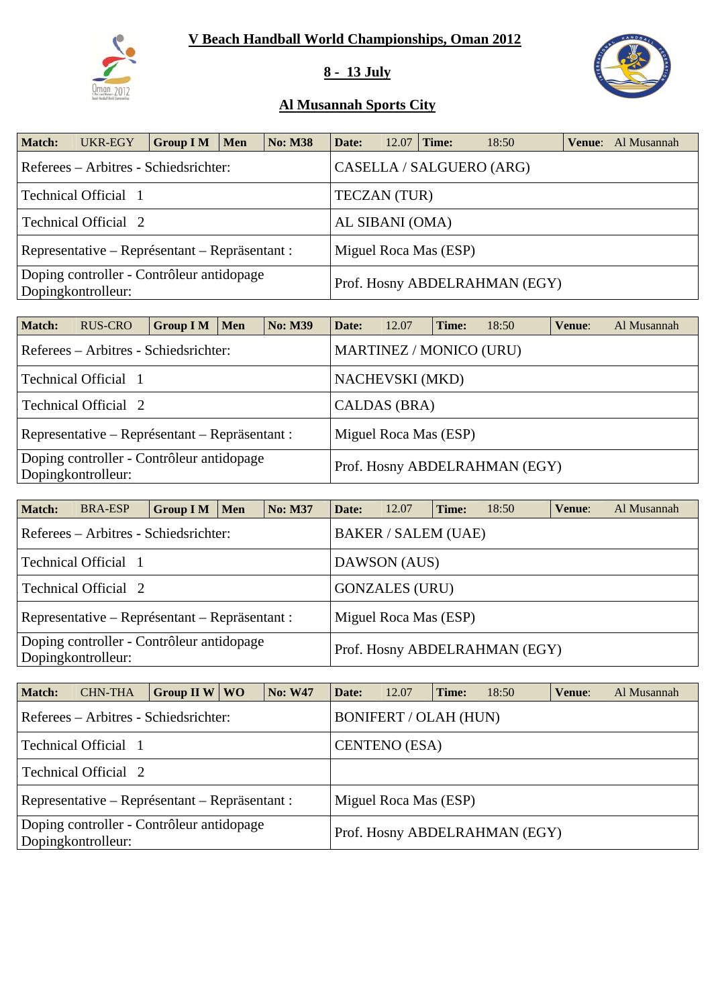

## **8 - 13 July**



| Match: | UKR-EGY                                                         | <b>Group I M</b> | Men | <b>No: M38</b> | Date:               | 12.07 | Time:                 | 18:50                         | <b>Venue:</b> Al Musannah |
|--------|-----------------------------------------------------------------|------------------|-----|----------------|---------------------|-------|-----------------------|-------------------------------|---------------------------|
|        | Referees – Arbitres - Schiedsrichter:                           |                  |     |                |                     |       |                       | CASELLA / SALGUERO (ARG)      |                           |
|        | Technical Official 1                                            |                  |     |                | <b>TECZAN (TUR)</b> |       |                       |                               |                           |
|        | Technical Official 2                                            |                  |     |                | AL SIBANI (OMA)     |       |                       |                               |                           |
|        | Representative – Représentant – Repräsentant :                  |                  |     |                |                     |       | Miguel Roca Mas (ESP) |                               |                           |
|        | Doping controller - Contrôleur antidopage<br>Dopingkontrolleur: |                  |     |                |                     |       |                       | Prof. Hosny ABDELRAHMAN (EGY) |                           |

| <b>Match:</b> | RUS-CRO                                                         | <b>Group I M</b> | <b>Men</b> | <b>No: M39</b> | Date:                         | 12.07                          | Time: | 18:50 | Venue: | Al Musannah |  |  |
|---------------|-----------------------------------------------------------------|------------------|------------|----------------|-------------------------------|--------------------------------|-------|-------|--------|-------------|--|--|
|               | Referees – Arbitres - Schiedsrichter:                           |                  |            |                |                               | <b>MARTINEZ / MONICO (URU)</b> |       |       |        |             |  |  |
|               | <b>Technical Official</b> 1                                     |                  |            |                |                               | <b>NACHEVSKI</b> (MKD)         |       |       |        |             |  |  |
|               | Technical Official 2                                            |                  |            |                |                               | CALDAS (BRA)                   |       |       |        |             |  |  |
|               | Representative – Représentant – Repräsentant :                  |                  |            |                |                               | Miguel Roca Mas (ESP)          |       |       |        |             |  |  |
|               | Doping controller - Contrôleur antidopage<br>Dopingkontrolleur: |                  |            |                | Prof. Hosny ABDELRAHMAN (EGY) |                                |       |       |        |             |  |  |

| <b>Match:</b> | <b>BRA-ESP</b>                                                  | <b>Group I M</b> | Men | <b>No: M37</b> | Date:                 | 12.07                      | Time: | 18:50                         | Venue: | Al Musannah |  |  |
|---------------|-----------------------------------------------------------------|------------------|-----|----------------|-----------------------|----------------------------|-------|-------------------------------|--------|-------------|--|--|
|               | Referees – Arbitres - Schiedsrichter:                           |                  |     |                |                       | <b>BAKER / SALEM (UAE)</b> |       |                               |        |             |  |  |
|               | Technical Official 1                                            |                  |     |                |                       | DAWSON (AUS)               |       |                               |        |             |  |  |
|               | Technical Official 2                                            |                  |     |                |                       | <b>GONZALES (URU)</b>      |       |                               |        |             |  |  |
|               | Representative – Représentant – Repräsentant :                  |                  |     |                | Miguel Roca Mas (ESP) |                            |       |                               |        |             |  |  |
|               | Doping controller - Contrôleur antidopage<br>Dopingkontrolleur: |                  |     |                |                       |                            |       | Prof. Hosny ABDELRAHMAN (EGY) |        |             |  |  |

| <b>Match:</b> | <b>CHN-THA</b>                                                  | Group II W $\vert$ WO | <b>No: W47</b> | Date:                         | 12.07                        | Time: | 18:50 | Venue: | Al Musannah |  |
|---------------|-----------------------------------------------------------------|-----------------------|----------------|-------------------------------|------------------------------|-------|-------|--------|-------------|--|
|               | Referees – Arbitres - Schiedsrichter:                           |                       |                |                               | <b>BONIFERT / OLAH (HUN)</b> |       |       |        |             |  |
|               | Technical Official 1                                            |                       |                |                               | <b>CENTENO</b> (ESA)         |       |       |        |             |  |
|               | Technical Official 2                                            |                       |                |                               |                              |       |       |        |             |  |
|               | Representative – Représentant – Repräsentant :                  |                       |                | Miguel Roca Mas (ESP)         |                              |       |       |        |             |  |
|               | Doping controller - Contrôleur antidopage<br>Dopingkontrolleur: |                       |                | Prof. Hosny ABDELRAHMAN (EGY) |                              |       |       |        |             |  |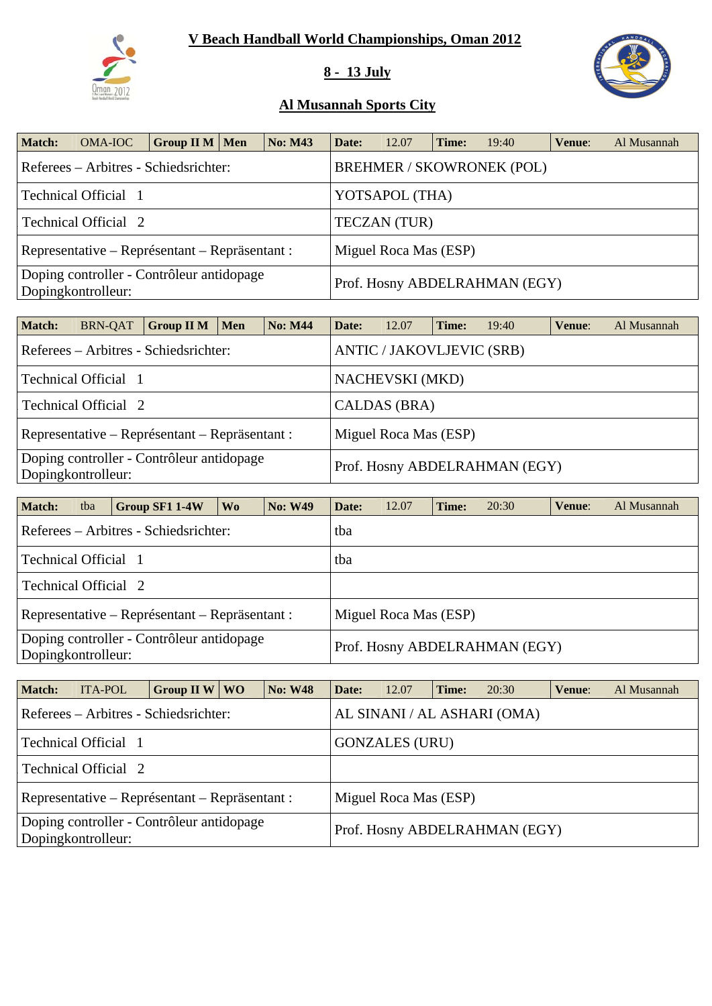

### **8 - 13 July**



| <b>Match:</b> | OMA-IOC                                                         | <b>Group II M   Men</b> | <b>No: M43</b> | Date:                         | 12.07                 | Time: | 19:40                            | Venue: | Al Musannah |
|---------------|-----------------------------------------------------------------|-------------------------|----------------|-------------------------------|-----------------------|-------|----------------------------------|--------|-------------|
|               | Referees – Arbitres - Schiedsrichter:                           |                         |                |                               |                       |       | <b>BREHMER / SKOWRONEK (POL)</b> |        |             |
|               | Technical Official 1                                            |                         |                |                               | YOTSAPOL (THA)        |       |                                  |        |             |
|               | Technical Official 2                                            |                         |                |                               | <b>TECZAN</b> (TUR)   |       |                                  |        |             |
|               | Representative – Représentant – Repräsentant :                  |                         |                |                               | Miguel Roca Mas (ESP) |       |                                  |        |             |
|               | Doping controller - Contrôleur antidopage<br>Dopingkontrolleur: |                         |                | Prof. Hosny ABDELRAHMAN (EGY) |                       |       |                                  |        |             |

| <b>Match:</b>                                                   | <b>BRN-QAT</b>                                                          | <b>Group II M</b>                     | <b>Men</b> | <b>No: M44</b> | Date:                         | 12.07                     | Time: | 19:40 | Venue: | Al Musannah |  |  |
|-----------------------------------------------------------------|-------------------------------------------------------------------------|---------------------------------------|------------|----------------|-------------------------------|---------------------------|-------|-------|--------|-------------|--|--|
|                                                                 |                                                                         | Referees – Arbitres - Schiedsrichter: |            |                |                               | ANTIC / JAKOVLJEVIC (SRB) |       |       |        |             |  |  |
|                                                                 | Technical Official 1                                                    |                                       |            |                |                               | <b>NACHEVSKI</b> (MKD)    |       |       |        |             |  |  |
|                                                                 | Technical Official 2                                                    |                                       |            |                |                               | CALDAS (BRA)              |       |       |        |             |  |  |
|                                                                 | Representative – Représentant – Repräsentant :<br>Miguel Roca Mas (ESP) |                                       |            |                |                               |                           |       |       |        |             |  |  |
| Doping controller - Contrôleur antidopage<br>Dopingkontrolleur: |                                                                         |                                       |            |                | Prof. Hosny ABDELRAHMAN (EGY) |                           |       |       |        |             |  |  |

| <b>Match:</b>        | tba | Group SF1 1-4W                                 | W <sub>0</sub> | <b>No: W49</b>                | Date: | 12.07                 | Time: | 20:30 | Venue: | Al Musannah |
|----------------------|-----|------------------------------------------------|----------------|-------------------------------|-------|-----------------------|-------|-------|--------|-------------|
|                      |     | Referees – Arbitres - Schiedsrichter:          |                |                               | tba   |                       |       |       |        |             |
| Technical Official 1 |     |                                                |                |                               | tba   |                       |       |       |        |             |
| Technical Official 2 |     |                                                |                |                               |       |                       |       |       |        |             |
|                      |     | Representative – Représentant – Repräsentant : |                |                               |       | Miguel Roca Mas (ESP) |       |       |        |             |
| Dopingkontrolleur:   |     | Doping controller - Contrôleur antidopage      |                | Prof. Hosny ABDELRAHMAN (EGY) |       |                       |       |       |        |             |

| <b>Match:</b> | <b>ITA-POL</b>                                                  | Group II W $\vert$ WO | <b>No: W48</b> | Date:                         | 12.07                 | Time: | 20:30                       | Venue: | Al Musannah |  |
|---------------|-----------------------------------------------------------------|-----------------------|----------------|-------------------------------|-----------------------|-------|-----------------------------|--------|-------------|--|
|               | Referees – Arbitres - Schiedsrichter:                           |                       |                |                               |                       |       | AL SINANI / AL ASHARI (OMA) |        |             |  |
|               | Technical Official 1                                            |                       |                |                               | <b>GONZALES (URU)</b> |       |                             |        |             |  |
|               | Technical Official 2                                            |                       |                |                               |                       |       |                             |        |             |  |
|               | Representative – Représentant – Repräsentant :                  |                       |                |                               | Miguel Roca Mas (ESP) |       |                             |        |             |  |
|               | Doping controller - Contrôleur antidopage<br>Dopingkontrolleur: |                       |                | Prof. Hosny ABDELRAHMAN (EGY) |                       |       |                             |        |             |  |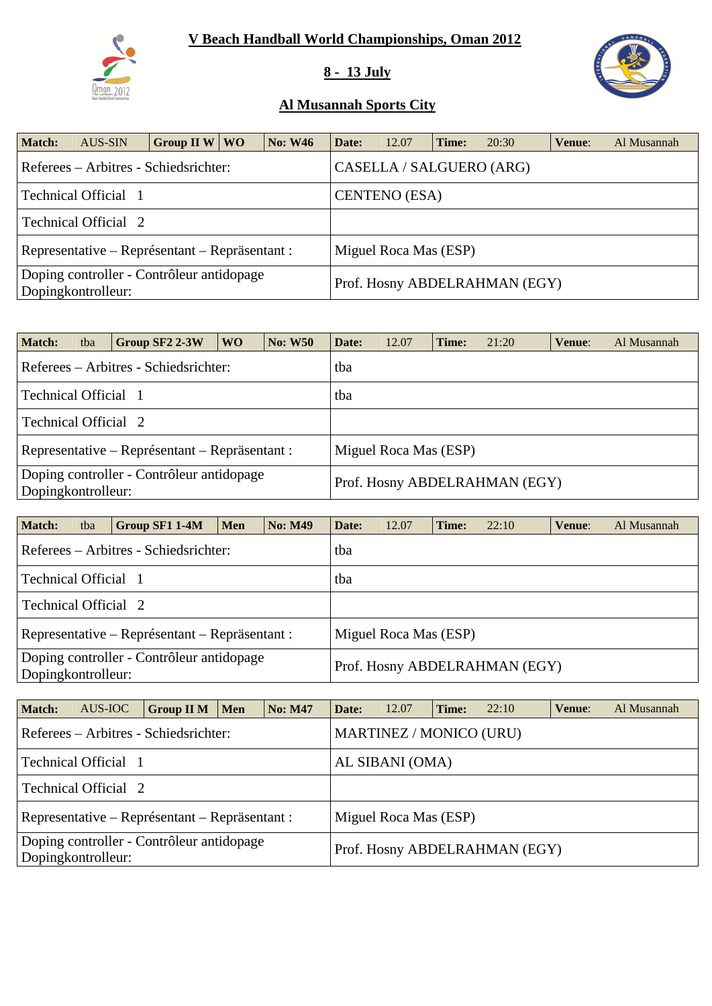# **V Beach Handball World Championships, Oman 2012**



### **8 - 13 July**



| <b>Match:</b>                                                   | AUS-SIN                                        | Group II W   WO |  | <b>No: W46</b> | Date:                    | 12.07                         | Time: | 20:30 | Venue: | Al Musannah |  |  |
|-----------------------------------------------------------------|------------------------------------------------|-----------------|--|----------------|--------------------------|-------------------------------|-------|-------|--------|-------------|--|--|
|                                                                 | Referees – Arbitres - Schiedsrichter:          |                 |  |                | CASELLA / SALGUERO (ARG) |                               |       |       |        |             |  |  |
|                                                                 | Technical Official 1                           |                 |  |                | <b>CENTENO</b> (ESA)     |                               |       |       |        |             |  |  |
|                                                                 | Technical Official 2                           |                 |  |                |                          |                               |       |       |        |             |  |  |
|                                                                 | Representative – Représentant – Repräsentant : |                 |  |                | Miguel Roca Mas (ESP)    |                               |       |       |        |             |  |  |
| Doping controller - Contrôleur antidopage<br>Dopingkontrolleur: |                                                |                 |  |                |                          | Prof. Hosny ABDELRAHMAN (EGY) |       |       |        |             |  |  |

| <b>Match:</b>                                                   | tba | Group SF2 2-3W | W <sub>O</sub> | <b>No: W50</b> | Date: | 12.07                         | Time: | 21:20 | Venue: | Al Musannah |  |  |  |
|-----------------------------------------------------------------|-----|----------------|----------------|----------------|-------|-------------------------------|-------|-------|--------|-------------|--|--|--|
| Referees – Arbitres - Schiedsrichter:                           |     |                |                |                |       | tba                           |       |       |        |             |  |  |  |
| Technical Official 1                                            |     |                |                |                | tba   |                               |       |       |        |             |  |  |  |
| Technical Official 2                                            |     |                |                |                |       |                               |       |       |        |             |  |  |  |
| Representative – Représentant – Repräsentant :                  |     |                |                |                |       | Miguel Roca Mas (ESP)         |       |       |        |             |  |  |  |
| Doping controller - Contrôleur antidopage<br>Dopingkontrolleur: |     |                |                |                |       | Prof. Hosny ABDELRAHMAN (EGY) |       |       |        |             |  |  |  |

| <b>Match:</b>                                                   | tba | Group SF1 1-4M                        | Men | <b>No: M49</b> | Date: | 12.07                         | Time: | 22:10 | Venue: | Al Musannah |  |  |  |
|-----------------------------------------------------------------|-----|---------------------------------------|-----|----------------|-------|-------------------------------|-------|-------|--------|-------------|--|--|--|
|                                                                 |     | Referees – Arbitres - Schiedsrichter: |     |                | tba   |                               |       |       |        |             |  |  |  |
| Technical Official 1                                            |     |                                       |     |                | tba   |                               |       |       |        |             |  |  |  |
| Technical Official 2                                            |     |                                       |     |                |       |                               |       |       |        |             |  |  |  |
| Representative – Représentant – Repräsentant :                  |     |                                       |     |                |       | Miguel Roca Mas (ESP)         |       |       |        |             |  |  |  |
| Doping controller - Contrôleur antidopage<br>Dopingkontrolleur: |     |                                       |     |                |       | Prof. Hosny ABDELRAHMAN (EGY) |       |       |        |             |  |  |  |

| <b>Match:</b>                                                   | AUS-IOC              | <b>Group II M</b>                     | $\blacksquare$ Men | <b>No: M47</b> | Date:                   | 12.07                         | Time: | 22:10 | Venue: | Al Musannah |  |  |
|-----------------------------------------------------------------|----------------------|---------------------------------------|--------------------|----------------|-------------------------|-------------------------------|-------|-------|--------|-------------|--|--|
|                                                                 |                      | Referees – Arbitres - Schiedsrichter: |                    |                | MARTINEZ / MONICO (URU) |                               |       |       |        |             |  |  |
|                                                                 | Technical Official 1 |                                       |                    |                | AL SIBANI (OMA)         |                               |       |       |        |             |  |  |
|                                                                 | Technical Official 2 |                                       |                    |                |                         |                               |       |       |        |             |  |  |
| Representative – Représentant – Repräsentant :                  |                      |                                       |                    |                |                         | Miguel Roca Mas (ESP)         |       |       |        |             |  |  |
| Doping controller - Contrôleur antidopage<br>Dopingkontrolleur: |                      |                                       |                    |                |                         | Prof. Hosny ABDELRAHMAN (EGY) |       |       |        |             |  |  |